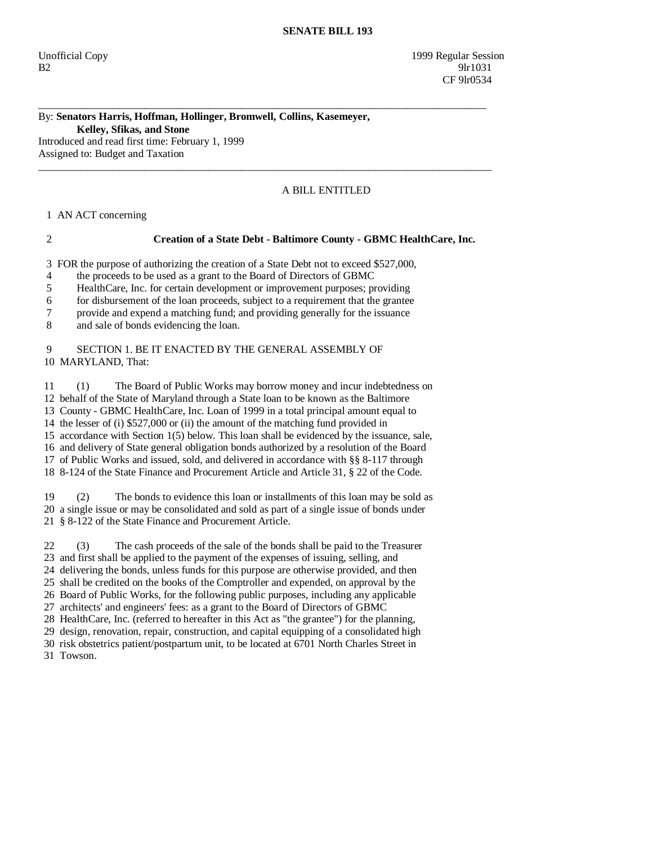#### By: **Senators Harris, Hoffman, Hollinger, Bromwell, Collins, Kasemeyer, Kelley, Sfikas, and Stone**  Introduced and read first time: February 1, 1999

Assigned to: Budget and Taxation

# A BILL ENTITLED

1 AN ACT concerning

## 2 **Creation of a State Debt - Baltimore County - GBMC HealthCare, Inc.**

3 FOR the purpose of authorizing the creation of a State Debt not to exceed \$527,000,

\_\_\_\_\_\_\_\_\_\_\_\_\_\_\_\_\_\_\_\_\_\_\_\_\_\_\_\_\_\_\_\_\_\_\_\_\_\_\_\_\_\_\_\_\_\_\_\_\_\_\_\_\_\_\_\_\_\_\_\_\_\_\_\_\_\_\_\_\_\_\_\_\_\_\_\_\_\_\_\_\_\_\_\_

 $\_$  ,  $\_$  ,  $\_$  ,  $\_$  ,  $\_$  ,  $\_$  ,  $\_$  ,  $\_$  ,  $\_$  ,  $\_$  ,  $\_$  ,  $\_$  ,  $\_$  ,  $\_$  ,  $\_$  ,  $\_$  ,  $\_$  ,  $\_$  ,  $\_$  ,  $\_$  ,  $\_$  ,  $\_$  ,  $\_$  ,  $\_$  ,  $\_$  ,  $\_$  ,  $\_$  ,  $\_$  ,  $\_$  ,  $\_$  ,  $\_$  ,  $\_$  ,  $\_$  ,  $\_$  ,  $\_$  ,  $\_$  ,  $\_$  ,

4 the proceeds to be used as a grant to the Board of Directors of GBMC

5 HealthCare, Inc. for certain development or improvement purposes; providing

6 for disbursement of the loan proceeds, subject to a requirement that the grantee

7 provide and expend a matching fund; and providing generally for the issuance

8 and sale of bonds evidencing the loan.

## 9 SECTION 1. BE IT ENACTED BY THE GENERAL ASSEMBLY OF 10 MARYLAND, That:

 11 (1) The Board of Public Works may borrow money and incur indebtedness on 12 behalf of the State of Maryland through a State loan to be known as the Baltimore 13 County - GBMC HealthCare, Inc. Loan of 1999 in a total principal amount equal to 14 the lesser of (i) \$527,000 or (ii) the amount of the matching fund provided in 15 accordance with Section 1(5) below. This loan shall be evidenced by the issuance, sale, 16 and delivery of State general obligation bonds authorized by a resolution of the Board 17 of Public Works and issued, sold, and delivered in accordance with §§ 8-117 through 18 8-124 of the State Finance and Procurement Article and Article 31, § 22 of the Code.

 19 (2) The bonds to evidence this loan or installments of this loan may be sold as 20 a single issue or may be consolidated and sold as part of a single issue of bonds under 21 § 8-122 of the State Finance and Procurement Article.

 22 (3) The cash proceeds of the sale of the bonds shall be paid to the Treasurer 23 and first shall be applied to the payment of the expenses of issuing, selling, and 24 delivering the bonds, unless funds for this purpose are otherwise provided, and then 25 shall be credited on the books of the Comptroller and expended, on approval by the 26 Board of Public Works, for the following public purposes, including any applicable 27 architects' and engineers' fees: as a grant to the Board of Directors of GBMC 28 HealthCare, Inc. (referred to hereafter in this Act as "the grantee") for the planning,

29 design, renovation, repair, construction, and capital equipping of a consolidated high

30 risk obstetrics patient/postpartum unit, to be located at 6701 North Charles Street in

31 Towson.